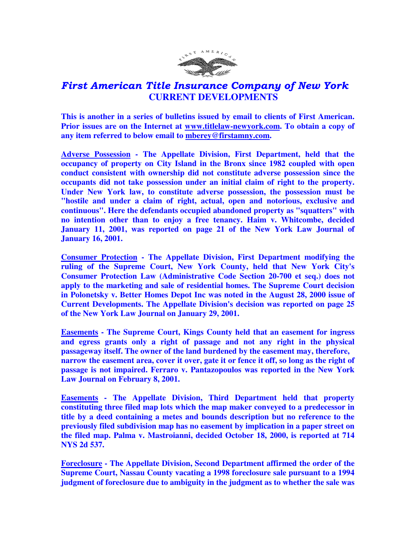

## First American Title Insurance Company of New York  **CURRENT DEVELOPMENTS**

**This is another in a series of bulletins issued by email to clients of First American. Prior issues are on the Internet at www.titlelaw-newyork.com. To obtain a copy of any item referred to below email to mberey@firstamny.com.** 

**Adverse Possession - The Appellate Division, First Department, held that the occupancy of property on City Island in the Bronx since 1982 coupled with open conduct consistent with ownership did not constitute adverse possession since the occupants did not take possession under an initial claim of right to the property. Under New York law, to constitute adverse possession, the possession must be "hostile and under a claim of right, actual, open and notorious, exclusive and continuous". Here the defendants occupied abandoned property as "squatters" with no intention other than to enjoy a free tenancy. Haim v. Whitcombe, decided January 11, 2001, was reported on page 21 of the New York Law Journal of January 16, 2001.** 

**Consumer Protection - The Appellate Division, First Department modifying the ruling of the Supreme Court, New York County, held that New York City's Consumer Protection Law (Administrative Code Section 20-700 et seq.) does not apply to the marketing and sale of residential homes. The Supreme Court decision in Polonetsky v. Better Homes Depot Inc was noted in the August 28, 2000 issue of Current Developments. The Appellate Division's decision was reported on page 25 of the New York Law Journal on January 29, 2001.** 

**Easements - The Supreme Court, Kings County held that an easement for ingress and egress grants only a right of passage and not any right in the physical passageway itself. The owner of the land burdened by the easement may, therefore, narrow the easement area, cover it over, gate it or fence it off, so long as the right of passage is not impaired. Ferraro v. Pantazopoulos was reported in the New York Law Journal on February 8, 2001.** 

**Easements - The Appellate Division, Third Department held that property constituting three filed map lots which the map maker conveyed to a predecessor in title by a deed containing a metes and bounds description but no reference to the previously filed subdivision map has no easement by implication in a paper street on the filed map. Palma v. Mastroianni, decided October 18, 2000, is reported at 714 NYS 2d 537.** 

**Foreclosure - The Appellate Division, Second Department affirmed the order of the Supreme Court, Nassau County vacating a 1998 foreclosure sale pursuant to a 1994 judgment of foreclosure due to ambiguity in the judgment as to whether the sale was**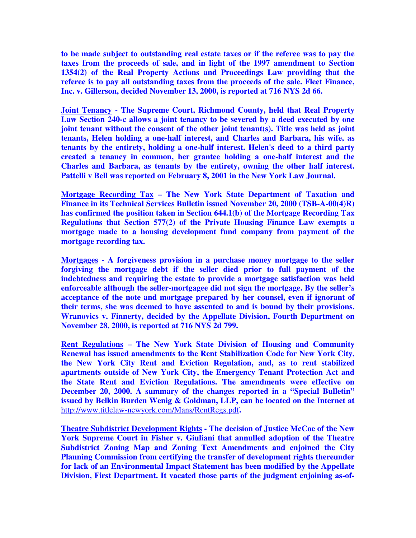**to be made subject to outstanding real estate taxes or if the referee was to pay the taxes from the proceeds of sale, and in light of the 1997 amendment to Section 1354(2) of the Real Property Actions and Proceedings Law providing that the referee is to pay all outstanding taxes from the proceeds of the sale. Fleet Finance, Inc. v. Gillerson, decided November 13, 2000, is reported at 716 NYS 2d 66.** 

**Joint Tenancy - The Supreme Court, Richmond County, held that Real Property Law Section 240-c allows a joint tenancy to be severed by a deed executed by one joint tenant without the consent of the other joint tenant(s). Title was held as joint tenants, Helen holding a one-half interest, and Charles and Barbara, his wife, as tenants by the entirety, holding a one-half interest. Helen's deed to a third party created a tenancy in common, her grantee holding a one-half interest and the Charles and Barbara, as tenants by the entirety, owning the other half interest. Pattelli v Bell was reported on February 8, 2001 in the New York Law Journal.** 

**Mortgage Recording Tax – The New York State Department of Taxation and Finance in its Technical Services Bulletin issued November 20, 2000 (TSB-A-00(4)R) has confirmed the position taken in Section 644.1(b) of the Mortgage Recording Tax Regulations that Section 577(2) of the Private Housing Finance Law exempts a mortgage made to a housing development fund company from payment of the mortgage recording tax.** 

**Mortgages - A forgiveness provision in a purchase money mortgage to the seller forgiving the mortgage debt if the seller died prior to full payment of the indebtedness and requiring the estate to provide a mortgage satisfaction was held enforceable although the seller-mortgagee did not sign the mortgage. By the seller's acceptance of the note and mortgage prepared by her counsel, even if ignorant of their terms, she was deemed to have assented to and is bound by their provisions. Wranovics v. Finnerty, decided by the Appellate Division, Fourth Department on November 28, 2000, is reported at 716 NYS 2d 799.** 

**Rent Regulations – The New York State Division of Housing and Community Renewal has issued amendments to the Rent Stabilization Code for New York City, the New York City Rent and Eviction Regulation, and, as to rent stabilized apartments outside of New York City, the Emergency Tenant Protection Act and the State Rent and Eviction Regulations. The amendments were effective on December 20, 2000. A summary of the changes reported in a "Special Bulletin" issued by Belkin Burden Wenig & Goldman, LLP, can be located on the Internet at**  http://www.titlelaw-newyork.com/Mans/RentRegs.pdf**.** 

**Theatre Subdistrict Development Rights - The decision of Justice McCoe of the New York Supreme Court in Fisher v. Giuliani that annulled adoption of the Theatre Subdistrict Zoning Map and Zoning Text Amendments and enjoined the City Planning Commission from certifying the transfer of development rights thereunder for lack of an Environmental Impact Statement has been modified by the Appellate Division, First Department. It vacated those parts of the judgment enjoining as-of-**